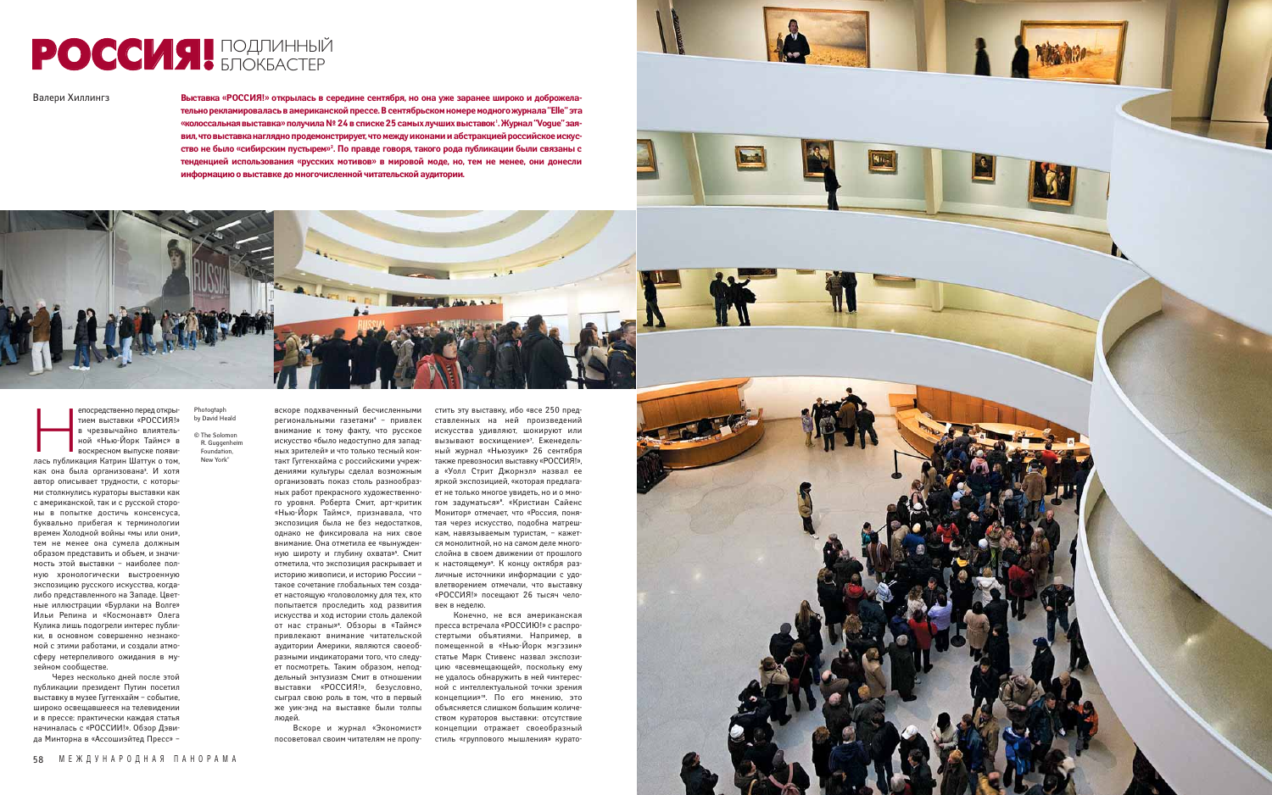**Выставка «РОССИЯ!» открылась в середине сентября, но она уже заранее широко и доброжелательно рекламировалась в американской прессе. В сентябрьском номере модного журнала "Elle" эта** «колоссальная выставка» получила № 24 в списке 25 самых лучших выставок'. Журнал "Vogue" зая**вил, что выставка наглядно продемонстрирует, что между иконами и абстракцией российское искусство не было «сибирским пустырем»2 . По правде говоря, такого рода публикации были связаны с тенденцией использования «русских мотивов» в мировой моде, но, тем не менее, они донесли информацию о выставке до многочисленной читательской аудитории.**



епосредственно перед откры-<br>
тием выставки «РОССИЯ!»<br>
в чрезвычайно влиятель-<br>
ной «Нью-Йорк Таймс» в<br>
воскресном выпуске появи-<br>лась публикация Катрин Шаттук о том, ной «Нью-Йорк Таймс» в воскресном выпуске появикак она была организована**<sup>3</sup>** . И хотя автор описывает трудности, с которыми столкнулись кураторы выставки как с американской, так и с русской стороны в попытке достичь консенсуса, буквально прибегая к терминологии времен Холодной войны «мы или они», тем не менее она сумела должным образом представить и объем, и значимость этой выставки – наиболее полную хронологически выстроенную экспозицию русского искусства, когдалибо представленного на Западе. Цветные иллюстрации «Бурлаки на Волге» Ильи Репина и «Космонавт» Олега Кулика лишь подогрели интерес публики, в основном совершенно незнакомой с этими работами, и создали атмосферу нетерпеливого ожидания в музейном сообществе.

Через несколько дней после этой публикации президент Путин посетил выставку в музее Гуггенхайм – событие, широко освещавшееся на телевидении и в прессе: практически каждая статья начиналась с «РОССИИ!». Обзор Дэвида Минторна в «Ассошиэйтед Пресс» –

## РОССИЯ! ПОДЛИННЫЙ

Валери Хиллингз

вскоре подхваченный бесчисленными региональными газетами**<sup>4</sup>** – привлек внимание к тому факту, что русское искусство «было недоступно для западных зрителей» и что только тесный контакт Гуггенхайма с российскими учреждениями культуры сделал возможным организовать показ столь разнообразных работ прекрасного художественного уровня. Роберта Смит, арт-критик «Нью-Йорк Таймс», признавала, что экспозиция была не без недостатков, однако не фиксировала на них свое внимание. Она отметила ее «вынужденную широту и глубину охвата»**<sup>5</sup>** . Смит отметила, что экспозиция раскрывает и историю живописи, и историю России – такое сочетание глобальных тем создает настоящую «головоломку для тех, кто попытается проследить ход развития искусства и ход истории столь далекой от нас страны»**<sup>6</sup>** . Обзоры в «Таймс» привлекают внимание читательской аудитории Америки, являются своеобразными индикаторами того, что следует посмотреть. Таким образом, неподдельный энтузиазм Смит в отношении выставки «РОССИЯ!», безусловно, сыграл свою роль в том, что в первый же уик-энд на выставке были толпы людей.

тием выставки «РОССИЯ!» в чрезвычайно влиятель-Photogtaph by David Heald

> Вскоре и журнал «Экономист» посоветовал своим читателям не пропу-

стить эту выставку, ибо «все 250 представленных на ней произведений искусства удивляют, шокируют или вызывают восхищение»**<sup>7</sup>** . Еженедельный журнал «Ньюзуик» 26 сентября также превозносил выставку «РОССИЯ!», а «Уолл Стрит Джорнэл» назвал ее яркой экспозицией, «которая предлагает не только многое увидеть, но и о многом задуматься»**<sup>8</sup>** . «Кристиан Сайенс Монитор» отмечает, что «Россия, понятая через искусство, подобна матрешкам, навязываемым туристам, – кажется монолитной, но на самом деле многослойна в своем движении от прошлого к настоящему»**<sup>9</sup>** . К концу октября различные источники информации с удовлетворением отмечали, что выставку «РОССИЯ!» посещают 26 тысяч человек в неделю.

Конечно, не вся американская пресса встречала «РОССИЮ!» с распростертыми объятиями. Например, в помещенной в «Нью-Йорк мэгэзин» статье Марк Стивенс назвал экспозицию «всевмещающей», поскольку ему не удалось обнаружить в ней «интересной с интеллектуальной точки зрения концепции»**10**. По его мнению, это объясняется слишком большим количеством кураторов выставки: отсутствие концепции отражает своеобразный стиль «группового мышления» курато-



© The Solomon R. Guggenheim Foundation, New York"